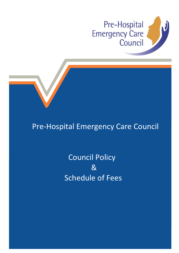



## Pre-Hospital Emergency Care Council

# Council Policy <u> 2008 - Samuel Barbara, amerikan di Sa</u> Schedule of Fees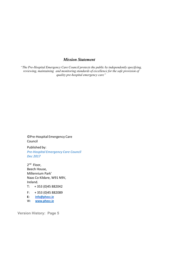### *Mission Statement*

*"The Pre-Hospital Emergency Care Council protects the public by independently specifying, reviewing, maintaining and monitoring standards of excellence for the safe provision of quality pre-hospital emergency care"*

©Pre-Hospital Emergency Care Council

Published by: *Pre-Hospital Emergency Care Council Dec 2017*

2<sup>nd</sup> Floor, Beech House, Millennium Park' Naas Co Kildare, W91 N9V, Ireland.

T: + 353 (0)45 882042

F: + 353 (0)45 882089

**E: [info@phecc.ie](mailto:info@phecc.ie)**

W**: [www.phecc.ie](http://www.phecc.ie/)**

**Version History: Page 5**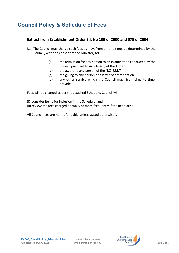### **Council Policy & Schedule of Fees**

### **Extract from Establishment Order S.I. No 109 of 2000 and 575 of 2004**

- 31. The Council may charge such fees as may, from time to time, be determined by the Council, with the consent of the Minister, for:-
	- (a) the admission for any person to an examination conducted by the Council pursuant to Article 4(b) of this Order.
	- (b) the award to any person of the N.Q.E.M.T.
	- (c) the giving to any person of a letter of accreditation
	- (d) any other service which the Council may, from time to time, provide.

Fees will be charged as per the attached Schedule. Council will:

- (i) consider items for inclusion in the Schedule; and
- (ii) review the fees charged annually or more frequently if the need arise

All Council fees are non-refundable unless stated otherwise\*.

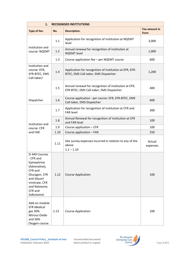| 1.<br><b>RECOGNISED INSTITUTIONS</b>                                                                                                                                |      |                                                                                                   |                        |
|---------------------------------------------------------------------------------------------------------------------------------------------------------------------|------|---------------------------------------------------------------------------------------------------|------------------------|
| Type of fee:                                                                                                                                                        | No.  | <b>Description:</b>                                                                               | Fee amount in<br>Euro: |
| Institution and<br>course: NQEMT                                                                                                                                    | 1.1  | Application for recognition of institution at NQEMT<br>level                                      | 3,000                  |
|                                                                                                                                                                     | 1.2  | Annual renewal for recognition of institution at<br><b>NQEMT</b> level                            | 1,000                  |
|                                                                                                                                                                     | 1.3  | Course application fee - per NQEMT course                                                         | 600                    |
| Institution and<br>course: EFR,<br>EFR-BTEC, EMS<br>Call-taker/                                                                                                     | 1.4  | Application for recognition of institution at EFR, EFR-<br>BTEC, EMS Call-taker, EMS Dispatcher   | 1,200                  |
|                                                                                                                                                                     | 1.5  | Annual renewal for recognition of institution at EFR,<br>EFR-BTEC, EMS Call-taker, EMS Dispatcher | 400                    |
| Dispatcher                                                                                                                                                          | 1.6  | Course application - per course: EFR, EFR-BTEC, EMS<br>Call-taker, EMS Dispatcher                 | 600                    |
|                                                                                                                                                                     | 1.7  | Application for recognition of institution at CFR and<br><b>FAR level</b>                         | 300                    |
| Institution and                                                                                                                                                     | 1.8  | Annual Renewal for recognition of institution at CFR<br>and FAR level                             | 100                    |
| course: CFR                                                                                                                                                         | 1.9  | Course application - CFR                                                                          | 100                    |
| and FAR                                                                                                                                                             | 1.10 | Course application - FAR                                                                          | 250                    |
|                                                                                                                                                                     | 1.11 | Site survey expenses incurred in relation to any of the<br>above<br>$1.1 - 1.10$                  | Actual<br>expenses     |
| SI 449 Courses<br>- CFR and<br>Epinephrine<br>(Adrenaline),<br>CFR and<br>Glucagon, CFR<br>and Glycerl<br>trinitrate, CFR<br>and Naloxone,<br>CFR and<br>Salbutamol | 1.12 | <b>Course Application</b>                                                                         | 100                    |
| Add-on module<br><b>EFR Medical</b><br>gas 50%<br>Nitrous Oxide<br>and 50%<br>Oxygen course.                                                                        | 1.13 | <b>Course Application</b>                                                                         | 100                    |

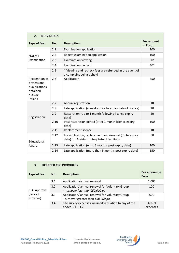| <b>INDIVIDUALS</b><br>2.                                                           |      |                                                                                                         |                        |
|------------------------------------------------------------------------------------|------|---------------------------------------------------------------------------------------------------------|------------------------|
| Type of fee:                                                                       | No.  | <b>Description:</b>                                                                                     | Fee amount<br>in Euro: |
| <b>NQEMT</b>                                                                       | 2.1  | <b>Examination application</b>                                                                          | 100                    |
|                                                                                    | 2.2  | Repeat examination application                                                                          | 100                    |
| Examination                                                                        | 2.3  | <b>Examination viewing</b>                                                                              | $60*$                  |
|                                                                                    | 2.4  | <b>Examination recheck</b>                                                                              | $40*$                  |
|                                                                                    | 2.5  | * Viewing and recheck fees are refunded in the event of<br>a complaint being upheld                     |                        |
| Recognition of<br>professional<br>qualifications<br>obtained<br>outside<br>Ireland | 2.6  | Application                                                                                             | 350                    |
|                                                                                    | 2.7  | Annual registration                                                                                     | 10                     |
|                                                                                    | 2.8  | Late application (4 weeks prior to expiry date of licence)                                              | 20                     |
| Registration                                                                       | 2.9  | Restoration (Up to 1 month following licence expiry<br>date)                                            | 50                     |
|                                                                                    | 2.10 | Post restoration period (after 1 month licence expiry<br>date)                                          | 100                    |
|                                                                                    | 2.11 | Replacement licence                                                                                     | 10                     |
| Educational                                                                        | 2.12 | For application, replacement and renewal (up to expiry<br>date) for Assistant tutor/tutor / facilitator | 50                     |
| Award                                                                              | 2.13 | Late application (up to 3 months post expiry date)                                                      | 100                    |
|                                                                                    | 2.14 | Late application (more than 3 months post expiry date)                                                  | 150                    |

| <b>LICENCED CPG PROVIDERS</b><br>3.   |     |                                                                                                 |                       |
|---------------------------------------|-----|-------------------------------------------------------------------------------------------------|-----------------------|
| Type of fee:                          | No. | <b>Description:</b>                                                                             | Fee amount in<br>Euro |
| CPG Approval<br>(Service<br>Provider) | 3.1 | Application /annual renewal                                                                     | 1,000                 |
|                                       | 3.2 | Application/annual renewal for Voluntary Group<br>- turnover less than $£50,000$ pa             | 100                   |
|                                       | 3.3 | Application/ annual renewal for Voluntary Group<br>- turnover greater than $\epsilon$ 50,000 pa | 500                   |
|                                       | 3.4 | Site survey expenses incurred in relation to any of the<br>above $3.1 - 3.2$                    | Actual<br>expenses    |

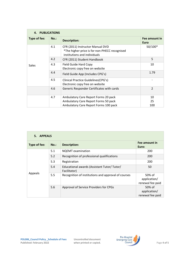| <b>PUBLICATIONS</b><br>4. |         |                                                                                                                   |                              |
|---------------------------|---------|-------------------------------------------------------------------------------------------------------------------|------------------------------|
| Type of fee:              | $No.$ : | <b>Description:</b>                                                                                               | Fee amount in<br><b>Euro</b> |
| Sales                     | 4.1     | CFR (2011) Instructor Manual DVD<br>*The higher price is for non-PHECC recognised<br>institutions and individuals | 50/100*                      |
|                           | 4.2     | CFR (2011) Student Handbook                                                                                       | 5                            |
|                           | 4.3     | Field Guide Hard Copy<br>Electronic copy free on website                                                          | 10                           |
|                           | 4.4     | Field Guide App (Includes CPG's)                                                                                  | 1.79                         |
|                           | 4.5     | Clinical Practice Guidelines (CPG's)<br>Electronic copy free on website                                           |                              |
|                           | 4.6     | Generic Responder Certificates with cards                                                                         | $\overline{2}$               |
|                           | 4.7     | Ambulatory Care Report Forms 20 pack                                                                              | 10                           |
|                           |         | Ambulatory Care Report Forms 50 pack                                                                              | 25                           |
|                           |         | Ambulatory Care Report Forms 100 pack                                                                             | 100                          |

| 5. APPEALS   |         |                                                             |                                            |
|--------------|---------|-------------------------------------------------------------|--------------------------------------------|
| Type of fee: | $No.$ : | <b>Description:</b>                                         | Fee amount in<br>Euro:                     |
| Appeals      | 5.1     | <b>NQEMT</b> examination                                    | 200                                        |
|              | 5.2     | Recognition of professional qualifications                  | 200                                        |
|              | 5.3     | Registration                                                | 200                                        |
|              | 5.4     | Educational awards (Assistant Tutor/ Tutor/<br>Facilitator) | 50                                         |
|              | 5.5     | Recognition of institutions and approval of courses         | 50% of<br>application/<br>renewal fee paid |
|              | 5.6     | Approval of Service Providers for CPGs                      | 50% of<br>application/<br>renewal fee paid |

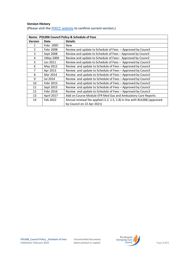#### **Version History**

| Name: POL006 Council Policy & Schedule of Fees |                   |                                                                          |
|------------------------------------------------|-------------------|--------------------------------------------------------------------------|
| <b>Version</b>                                 | Date              | <b>Details</b>                                                           |
| 1                                              | Febr 2005         | <b>New</b>                                                               |
| $\overline{2}$                                 | Febr 2008         | Review and update to Schedule of Fees - Approved by Council              |
| 3                                              | Sept 2008         | Review and update to Schedule of Fees - Approved by Council              |
| 4                                              | 1May 2009         | Review and update to Schedule of Fees- Approved by Council               |
| 5                                              | Jun 2011          | Review and update to Schedule of Fees - Approved by Council              |
| 6                                              | May 2012          | Review and update to Schedule of Fees - Approved by Council              |
| $\overline{7}$                                 | Apr 2013          | Review and update to Schedule of Fees - Approved by Council              |
| 8                                              | Mar 2014          | Review and update to Schedule of Fees - Approved by Council              |
| 9                                              | Jul 2014          | Review and update to Schedule of Fees - Approved by Council              |
| 10                                             | Febr 2015         | Review and update to Schedule of Fees - Approved by Council              |
| 11                                             | Sept 2015         | Review and update to Schedule of Fees - Approved by Council              |
| 12                                             | Febr 2016         | Review and update to Schedule of Fees - Approved by Council              |
| 13                                             | <b>April 2017</b> | Add on Course Module EFR Med Gas and Ambulatory Care Reports             |
| 14                                             | Feb 2022          | Annual renewal fee applied (1.2, 1.5, 1.8) in line with RUL006 (approved |
|                                                |                   | by Council on 22 Apr 2021)                                               |

**(Please visit the** [PHECC website](http://www.phecit.ie/PHECC/Clinical_resources/Clinical_Standards/PHECC/Clinical_Resources/Clinical_Standards/Clinical_Standards.aspx?Hkey=8a152974-f9b2-4294-b14d-09aa23d6403e) **to confirm current version.)**